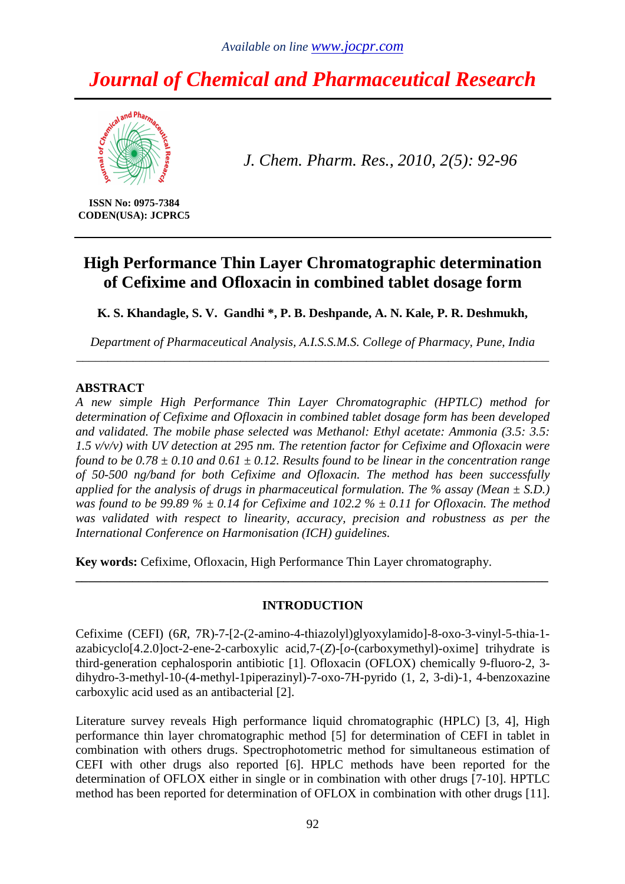# *Journal of Chemical and Pharmaceutical Research*



*J. Chem. Pharm. Res., 2010, 2(5): 92-96*

**ISSN No: 0975-7384 CODEN(USA): JCPRC5** 

# **High Performance Thin Layer Chromatographic determination of Cefixime and Ofloxacin in combined tablet dosage form**

**K. S. Khandagle, S. V. Gandhi \*, P. B. Deshpande, A. N. Kale, P. R. Deshmukh,** 

*Department of Pharmaceutical Analysis, A.I.S.S.M.S. College of Pharmacy, Pune, India \_\_\_\_\_\_\_\_\_\_\_\_\_\_\_\_\_\_\_\_\_\_\_\_\_\_\_\_\_\_\_\_\_\_\_\_\_\_\_\_\_\_\_\_\_\_\_\_\_\_\_\_\_\_\_\_\_\_\_\_\_\_\_\_\_\_\_\_\_\_\_\_\_\_\_* 

#### **ABSTRACT**

*A new simple High Performance Thin Layer Chromatographic (HPTLC) method for determination of Cefixime and Ofloxacin in combined tablet dosage form has been developed and validated. The mobile phase selected was Methanol: Ethyl acetate: Ammonia (3.5: 3.5: 1.5 v/v/v) with UV detection at 295 nm. The retention factor for Cefixime and Ofloxacin were found to be 0.78 ± 0.10 and 0.61 ± 0.12. Results found to be linear in the concentration range of 50-500 ng/band for both Cefixime and Ofloxacin. The method has been successfully applied for the analysis of drugs in pharmaceutical formulation. The % assay (Mean*  $\pm$  *S.D.) was found to be 99.89 %*  $\pm$  *0.14 for Cefixime and 102.2 %*  $\pm$  *0.11 for Ofloxacin. The method was validated with respect to linearity, accuracy, precision and robustness as per the International Conference on Harmonisation (ICH) guidelines.* 

**Key words:** Cefixime, Ofloxacin, High Performance Thin Layer chromatography.

## **INTRODUCTION**

**\_\_\_\_\_\_\_\_\_\_\_\_\_\_\_\_\_\_\_\_\_\_\_\_\_\_\_\_\_\_\_\_\_\_\_\_\_\_\_\_\_\_\_\_\_\_\_\_\_\_\_\_\_\_\_\_\_\_\_\_\_\_\_\_\_\_\_\_\_\_\_\_\_\_\_** 

Cefixime (CEFI) (6*R*, 7R)-7-[2-(2-amino-4-thiazolyl)glyoxylamido]-8-oxo-3-vinyl-5-thia-1 azabicyclo[4.2.0]oct-2-ene-2-carboxylic acid,7-(*Z*)-[*o*-(carboxymethyl)-oxime] trihydrate is third-generation cephalosporin antibiotic [1]. Ofloxacin (OFLOX) chemically 9-fluoro-2, 3 dihydro-3-methyl-10-(4-methyl-1piperazinyl)-7-oxo-7H-pyrido (1, 2, 3-di)-1, 4-benzoxazine carboxylic acid used as an antibacterial [2].

Literature survey reveals High performance liquid chromatographic (HPLC) [3, 4], High performance thin layer chromatographic method [5] for determination of CEFI in tablet in combination with others drugs. Spectrophotometric method for simultaneous estimation of CEFI with other drugs also reported [6]. HPLC methods have been reported for the determination of OFLOX either in single or in combination with other drugs [7-10]. HPTLC method has been reported for determination of OFLOX in combination with other drugs [11].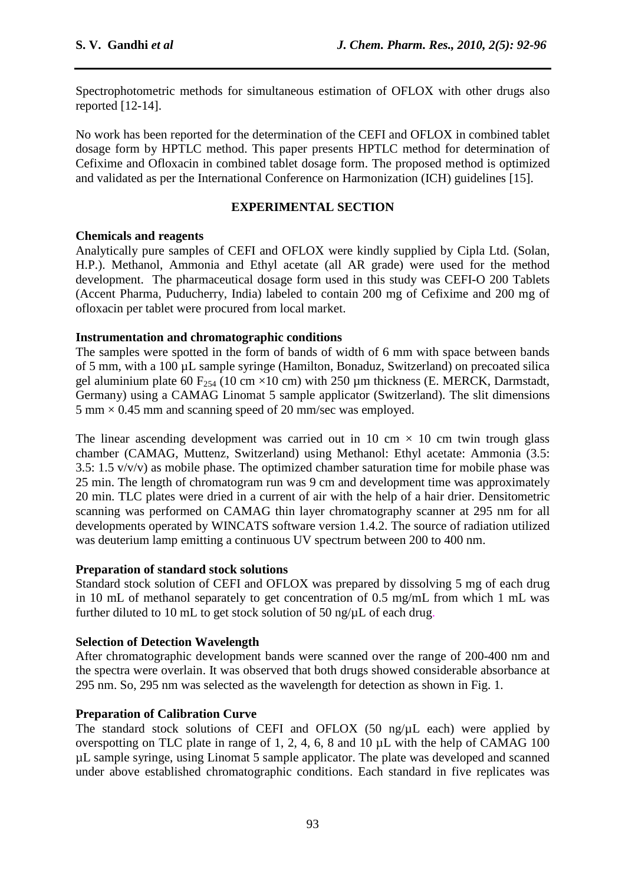Spectrophotometric methods for simultaneous estimation of OFLOX with other drugs also reported [12-14].

No work has been reported for the determination of the CEFI and OFLOX in combined tablet dosage form by HPTLC method. This paper presents HPTLC method for determination of Cefixime and Ofloxacin in combined tablet dosage form. The proposed method is optimized and validated as per the International Conference on Harmonization (ICH) guidelines [15].

#### **EXPERIMENTAL SECTION**

#### **Chemicals and reagents**

Analytically pure samples of CEFI and OFLOX were kindly supplied by Cipla Ltd. (Solan, H.P.). Methanol, Ammonia and Ethyl acetate (all AR grade) were used for the method development. The pharmaceutical dosage form used in this study was CEFI-O 200 Tablets (Accent Pharma, Puducherry, India) labeled to contain 200 mg of Cefixime and 200 mg of ofloxacin per tablet were procured from local market.

#### **Instrumentation and chromatographic conditions**

The samples were spotted in the form of bands of width of 6 mm with space between bands of 5 mm, with a 100 µL sample syringe (Hamilton, Bonaduz, Switzerland) on precoated silica gel aluminium plate 60 F<sub>254</sub> (10 cm  $\times$ 10 cm) with 250 µm thickness (E. MERCK, Darmstadt, Germany) using a CAMAG Linomat 5 sample applicator (Switzerland). The slit dimensions  $5 \text{ mm} \times 0.45 \text{ mm}$  and scanning speed of 20 mm/sec was employed.

The linear ascending development was carried out in 10 cm  $\times$  10 cm twin trough glass chamber (CAMAG, Muttenz, Switzerland) using Methanol: Ethyl acetate: Ammonia (3.5: 3.5: 1.5  $v/v/v$ ) as mobile phase. The optimized chamber saturation time for mobile phase was 25 min. The length of chromatogram run was 9 cm and development time was approximately 20 min. TLC plates were dried in a current of air with the help of a hair drier. Densitometric scanning was performed on CAMAG thin layer chromatography scanner at 295 nm for all developments operated by WINCATS software version 1.4.2. The source of radiation utilized was deuterium lamp emitting a continuous UV spectrum between 200 to 400 nm.

## **Preparation of standard stock solutions**

Standard stock solution of CEFI and OFLOX was prepared by dissolving 5 mg of each drug in 10 mL of methanol separately to get concentration of 0.5 mg/mL from which 1 mL was further diluted to 10 mL to get stock solution of 50 ng/ $\mu$ L of each drug.

#### **Selection of Detection Wavelength**

After chromatographic development bands were scanned over the range of 200-400 nm and the spectra were overlain. It was observed that both drugs showed considerable absorbance at 295 nm. So, 295 nm was selected as the wavelength for detection as shown in Fig. 1.

## **Preparation of Calibration Curve**

The standard stock solutions of CEFI and OFLOX (50 ng/ $\mu$ L each) were applied by overspotting on TLC plate in range of 1, 2, 4, 6, 8 and 10 µL with the help of CAMAG 100 µL sample syringe, using Linomat 5 sample applicator. The plate was developed and scanned under above established chromatographic conditions. Each standard in five replicates was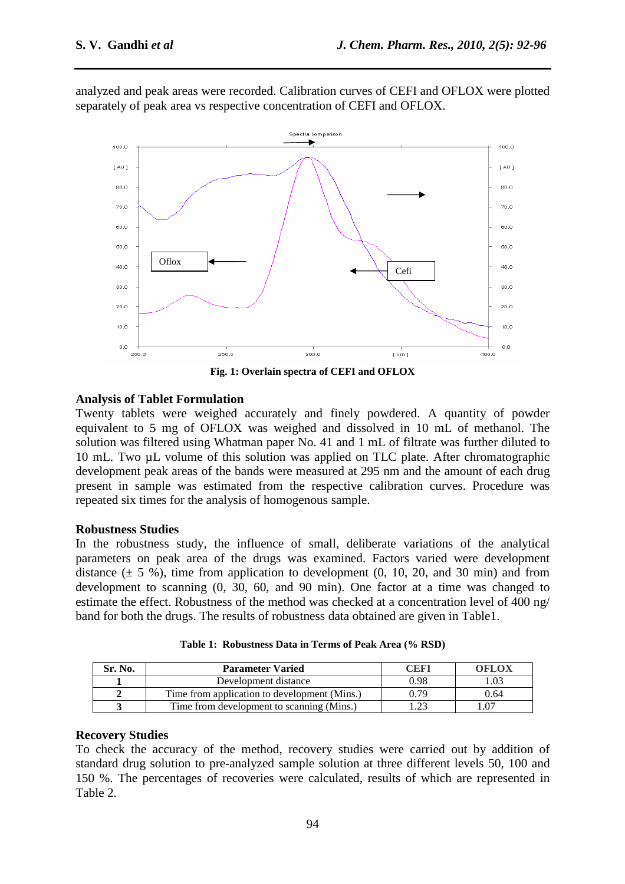analyzed and peak areas were recorded. Calibration curves of CEFI and OFLOX were plotted separately of peak area vs respective concentration of CEFI and OFLOX.



**Fig. 1: Overlain spectra of CEFI and OFLOX** 

## **Analysis of Tablet Formulation**

Twenty tablets were weighed accurately and finely powdered. A quantity of powder equivalent to 5 mg of OFLOX was weighed and dissolved in 10 mL of methanol. The solution was filtered using Whatman paper No. 41 and 1 mL of filtrate was further diluted to 10 mL. Two µL volume of this solution was applied on TLC plate. After chromatographic development peak areas of the bands were measured at 295 nm and the amount of each drug present in sample was estimated from the respective calibration curves. Procedure was repeated six times for the analysis of homogenous sample.

#### **Robustness Studies**

In the robustness study, the influence of small, deliberate variations of the analytical parameters on peak area of the drugs was examined. Factors varied were development distance  $(\pm 5\%)$ , time from application to development  $(0, 10, 20, \text{ and } 30 \text{ min})$  and from development to scanning (0, 30, 60, and 90 min). One factor at a time was changed to estimate the effect. Robustness of the method was checked at a concentration level of 400 ng/ band for both the drugs. The results of robustness data obtained are given in Table1.

| Sr. No. | <b>Parameter Varied</b>                      | ^EFI | OFLOX |
|---------|----------------------------------------------|------|-------|
|         | Development distance                         | 0.98 |       |
|         | Time from application to development (Mins.) | 0 79 | 0.64  |
|         | Time from development to scanning (Mins.)    |      | -07   |

**Table 1: Robustness Data in Terms of Peak Area (% RSD)** 

#### **Recovery Studies**

To check the accuracy of the method, recovery studies were carried out by addition of standard drug solution to pre-analyzed sample solution at three different levels 50, 100 and 150 %. The percentages of recoveries were calculated, results of which are represented in Table 2*.*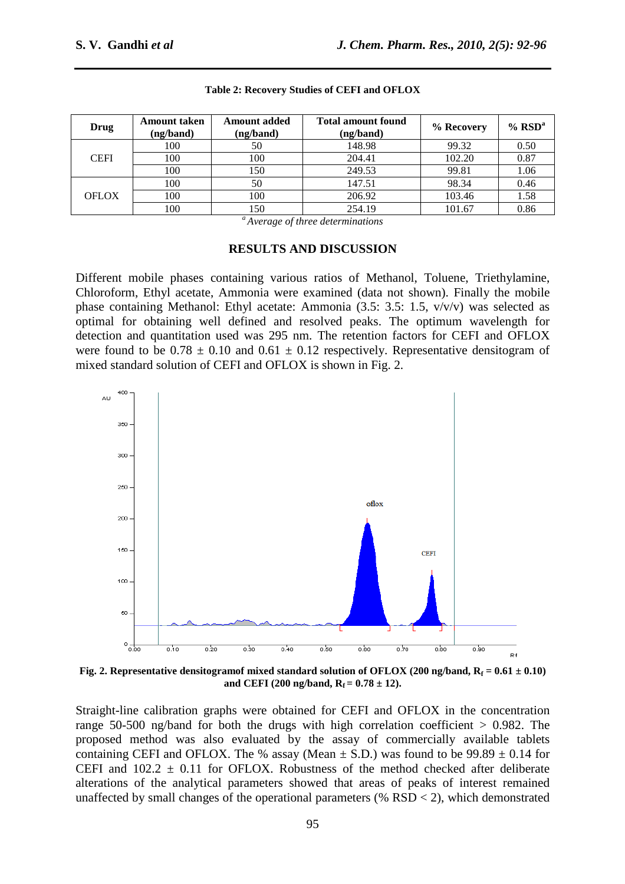| Drug         | Amount taken<br>(ng/band) | <b>Amount added</b><br>(ng/band) | <b>Total amount found</b><br>(ng/band) | % Recovery | $%$ RSD <sup>a</sup> |
|--------------|---------------------------|----------------------------------|----------------------------------------|------------|----------------------|
| <b>CEFI</b>  | 100                       | 50                               | 148.98                                 | 99.32      | 0.50                 |
|              | 100                       | 100                              | 204.41                                 | 102.20     | 0.87                 |
|              | 100                       | 150                              | 249.53                                 | 99.81      | 1.06                 |
| <b>OFLOX</b> | 100                       | 50                               | 147.51                                 | 98.34      | 0.46                 |
|              | 100                       | 100                              | 206.92                                 | 103.46     | 1.58                 |
|              | 100                       | 150                              | 254.19                                 | 101.67     | 0.86                 |

#### **Table 2: Recovery Studies of CEFI and OFLOX**

*<sup>a</sup>Average of three determinations* 

#### **RESULTS AND DISCUSSION**

Different mobile phases containing various ratios of Methanol, Toluene, Triethylamine, Chloroform, Ethyl acetate, Ammonia were examined (data not shown). Finally the mobile phase containing Methanol: Ethyl acetate: Ammonia (3.5: 3.5: 1.5, v/v/v) was selected as optimal for obtaining well defined and resolved peaks. The optimum wavelength for detection and quantitation used was 295 nm. The retention factors for CEFI and OFLOX were found to be  $0.78 \pm 0.10$  and  $0.61 \pm 0.12$  respectively. Representative densitogram of mixed standard solution of CEFI and OFLOX is shown in Fig. 2.



**Fig. 2.** Representative densitogramof mixed standard solution of OFLOX (200 ng/band,  $R_f = 0.61 \pm 0.10$ ) and CEFI (200 ng/band,  $R_f = 0.78 \pm 12$ ).

Straight-line calibration graphs were obtained for CEFI and OFLOX in the concentration range 50-500 ng/band for both the drugs with high correlation coefficient  $> 0.982$ . The proposed method was also evaluated by the assay of commercially available tablets containing CEFI and OFLOX. The % assay (Mean  $\pm$  S.D.) was found to be 99.89  $\pm$  0.14 for CEFI and  $102.2 \pm 0.11$  for OFLOX. Robustness of the method checked after deliberate alterations of the analytical parameters showed that areas of peaks of interest remained unaffected by small changes of the operational parameters (%  $RSD < 2$ ), which demonstrated